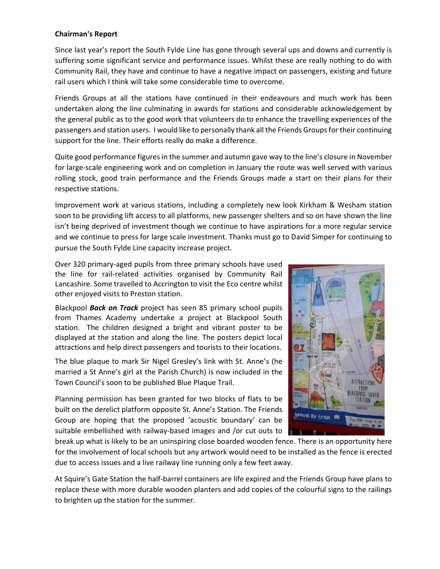## **Chairman's Report**

Since last year's report the South Fylde Line has gone through several ups and downs and currently is suffering some significant service and performance issues. Whilst these are really nothing to do with Community Rail, they have and continue to have a negative impact on passengers, existing and future rail users which I think will take some considerable time to overcome.

Friends Groups at all the stations have continued in their endeavours and much work has been undertaken along the line culminating in awards for stations and considerable acknowledgement by the general public as to the good work that volunteers do to enhance the travelling experiences of the passengers and station users. I would like to personally thank all the Friends Groups for their continuing support for the line. Their efforts really do make a difference.

Quite good performance figures in the summer and autumn gave way to the line's closure in November for large-scale engineering work and on completion in January the route was well served with various rolling stock, good train performance and the Friends Groups made a start on their plans for their respective stations.

Improvement work at various stations, including a completely new look Kirkham & Wesham station soon to be providing lift access to all platforms, new passenger shelters and so on have shown the line isn't being deprived of investment though we continue to have aspirations for a more regular service and we continue to press for large scale investment. Thanks must go to David Simper for continuing to pursue the South Fylde Line capacity increase project.

Over 320 primary-aged pupils from three primary schools have used the line for rail-related activities organised by Community Rail Lancashire. Some travelled to Accrington to visit the Eco centre whilst other enjoyed visits to Preston station.

Blackpool *Back on Track* project has seen 85 primary school pupils from Thames Academy undertake a project at Blackpool South station. The children designed a bright and vibrant poster to be displayed at the station and along the line. The posters depict local attractions and help direct passengers and tourists to their locations.

The blue plaque to mark Sir Nigel Gresley's link with St. Anne's (he married a St Anne's girl at the Parish Church) is now included in the Town Council's soon to be published Blue Plaque Trail.

Planning permission has been granted for two blocks of flats to be built on the derelict platform opposite St. Anne's Station. The Friends Group are hoping that the proposed 'acoustic boundary' can be suitable embellished with railway-based images and /or cut outs to



break up what is likely to be an uninspiring close boarded wooden fence. There is an opportunity here for the involvement of local schools but any artwork would need to be installed as the fence is erected due to access issues and a live railway line running only a few feet away.

At Squire's Gate Station the half-barrel containers are life expired and the Friends Group have plans to replace these with more durable wooden planters and add copies of the colourful signs to the railings to brighten up the station for the summer.